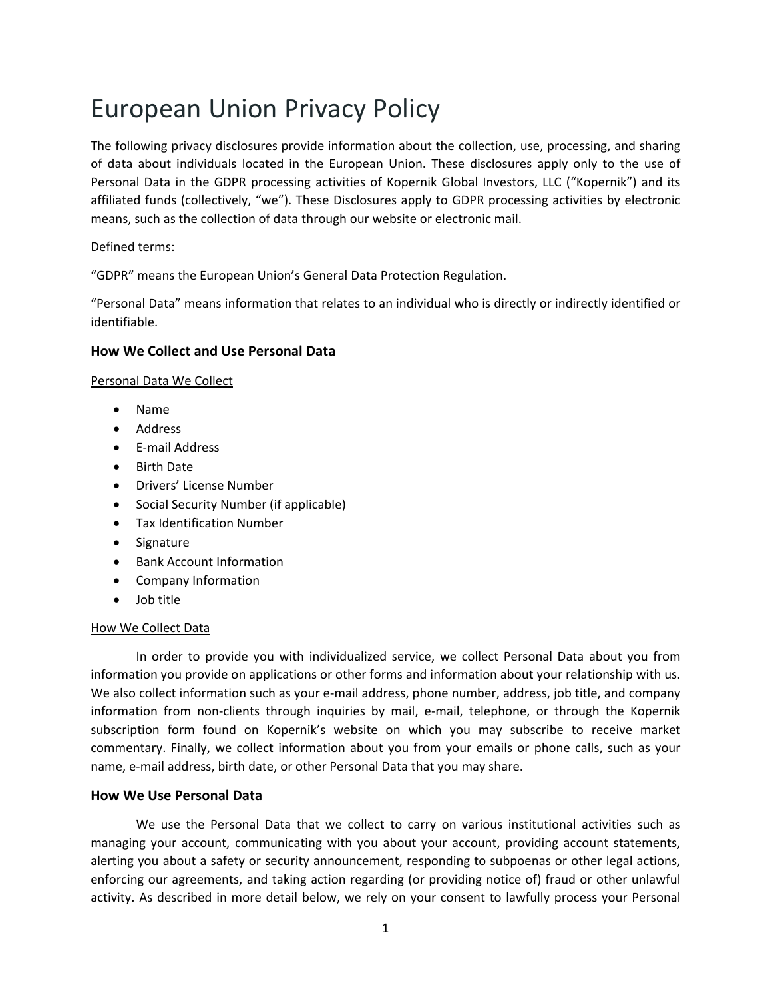# European Union Privacy Policy

The following privacy disclosures provide information about the collection, use, processing, and sharing of data about individuals located in the European Union. These disclosures apply only to the use of Personal Data in the GDPR processing activities of Kopernik Global Investors, LLC ("Kopernik") and its affiliated funds (collectively, "we"). These Disclosures apply to GDPR processing activities by electronic means, such as the collection of data through our website or electronic mail.

#### Defined terms:

"GDPR" means the European Union's General Data Protection Regulation.

"Personal Data" means information that relates to an individual who is directly or indirectly identified or identifiable.

### **How We Collect and Use Personal Data**

#### Personal Data We Collect

- Name
- Address
- E‐mail Address
- Birth Date
- Drivers' License Number
- Social Security Number (if applicable)
- Tax Identification Number
- Signature
- Bank Account Information
- Company Information
- Job title

#### How We Collect Data

In order to provide you with individualized service, we collect Personal Data about you from information you provide on applications or other forms and information about your relationship with us. We also collect information such as your e-mail address, phone number, address, job title, and company information from non-clients through inquiries by mail, e-mail, telephone, or through the Kopernik subscription form found on Kopernik's website on which you may subscribe to receive market commentary. Finally, we collect information about you from your emails or phone calls, such as your name, e‐mail address, birth date, or other Personal Data that you may share.

### **How We Use Personal Data**

We use the Personal Data that we collect to carry on various institutional activities such as managing your account, communicating with you about your account, providing account statements, alerting you about a safety or security announcement, responding to subpoenas or other legal actions, enforcing our agreements, and taking action regarding (or providing notice of) fraud or other unlawful activity. As described in more detail below, we rely on your consent to lawfully process your Personal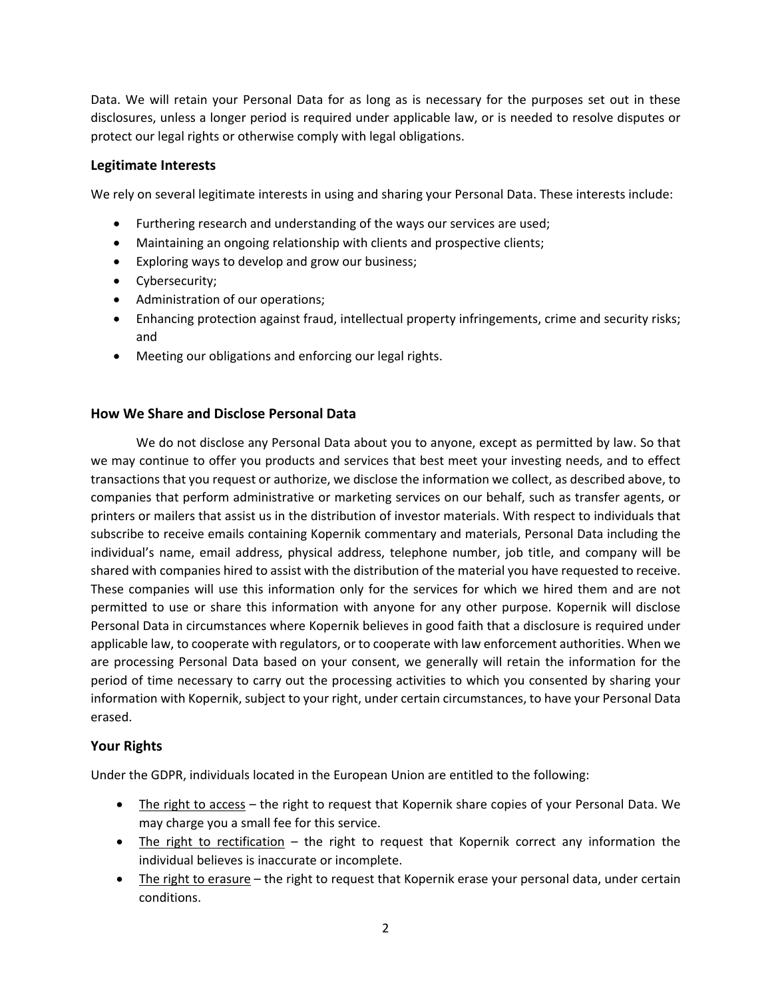Data. We will retain your Personal Data for as long as is necessary for the purposes set out in these disclosures, unless a longer period is required under applicable law, or is needed to resolve disputes or protect our legal rights or otherwise comply with legal obligations.

## **Legitimate Interests**

We rely on several legitimate interests in using and sharing your Personal Data. These interests include:

- Furthering research and understanding of the ways our services are used;
- Maintaining an ongoing relationship with clients and prospective clients;
- Exploring ways to develop and grow our business;
- Cybersecurity;
- Administration of our operations;
- Enhancing protection against fraud, intellectual property infringements, crime and security risks; and
- Meeting our obligations and enforcing our legal rights.

## **How We Share and Disclose Personal Data**

We do not disclose any Personal Data about you to anyone, except as permitted by law. So that we may continue to offer you products and services that best meet your investing needs, and to effect transactions that you request or authorize, we disclose the information we collect, as described above, to companies that perform administrative or marketing services on our behalf, such as transfer agents, or printers or mailers that assist us in the distribution of investor materials. With respect to individuals that subscribe to receive emails containing Kopernik commentary and materials, Personal Data including the individual's name, email address, physical address, telephone number, job title, and company will be shared with companies hired to assist with the distribution of the material you have requested to receive. These companies will use this information only for the services for which we hired them and are not permitted to use or share this information with anyone for any other purpose. Kopernik will disclose Personal Data in circumstances where Kopernik believes in good faith that a disclosure is required under applicable law, to cooperate with regulators, or to cooperate with law enforcement authorities. When we are processing Personal Data based on your consent, we generally will retain the information for the period of time necessary to carry out the processing activities to which you consented by sharing your information with Kopernik, subject to your right, under certain circumstances, to have your Personal Data erased.

### **Your Rights**

Under the GDPR, individuals located in the European Union are entitled to the following:

- The right to access the right to request that Kopernik share copies of your Personal Data. We may charge you a small fee for this service.
- The right to rectification the right to request that Kopernik correct any information the individual believes is inaccurate or incomplete.
- The right to erasure the right to request that Kopernik erase your personal data, under certain conditions.